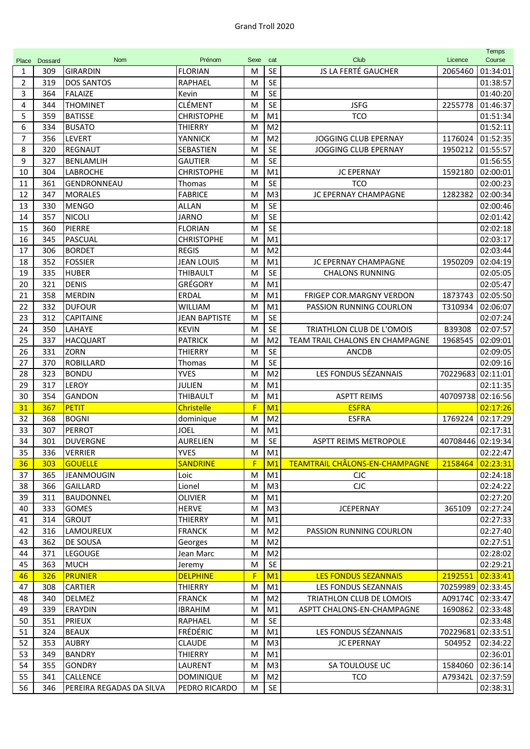| Place          | Dossard | <b>Nom</b>               | Prénom               | Sexe | cat            | Club                                  | Licence           | <b>Temps</b><br>Course |
|----------------|---------|--------------------------|----------------------|------|----------------|---------------------------------------|-------------------|------------------------|
| 1              | 309     | <b>GIRARDIN</b>          | <b>FLORIAN</b>       | M    | <b>SE</b>      | JS LA FERTÉ GAUCHER                   | 2065460           | 01:34:01               |
| $\overline{2}$ | 319     | <b>DOS SANTOS</b>        | RAPHAEL              | M    | <b>SE</b>      |                                       |                   | 01:38:57               |
| 3              | 364     | <b>FALAIZE</b>           | Kevin                | M    | <b>SE</b>      |                                       |                   | 01:40:20               |
| 4              | 344     | <b>THOMINET</b>          | <b>CLÉMENT</b>       | M    | <b>SE</b>      | <b>JSFG</b>                           | 2255778           | 01:46:37               |
| 5              | 359     | <b>BATISSE</b>           | <b>CHRISTOPHE</b>    | M    | M1             | TCO                                   |                   | 01:51:34               |
| 6              | 334     | <b>BUSATO</b>            | <b>THIERRY</b>       | M    | M <sub>2</sub> |                                       |                   | 01:52:11               |
| 7              | 356     | LEVERT                   | YANNICK              | M    | M <sub>2</sub> | JOGGING CLUB EPERNAY                  | 1176024           | 01:52:35               |
| 8              | 320     | <b>REGNAUT</b>           | SEBASTIEN            | M    | <b>SE</b>      | <b>JOGGING CLUB EPERNAY</b>           | 1950212           | 01:55:57               |
| 9              | 327     | <b>BENLAMLIH</b>         | <b>GAUTIER</b>       | M    | <b>SE</b>      |                                       |                   | 01:56:55               |
| 10             | 304     | LABROCHE                 | <b>CHRISTOPHE</b>    | M    | M1             | <b>JC EPERNAY</b>                     | 1592180           | 02:00:01               |
| 11             | 361     | GENDRONNEAU              | <b>Thomas</b>        | M    | <b>SE</b>      | <b>TCO</b>                            |                   | 02:00:23               |
| 12             | 347     | <b>MORALES</b>           | <b>FABRICE</b>       | M    | M <sub>3</sub> | JC EPERNAY CHAMPAGNE                  | 1282382           | 02:00:34               |
| 13             | 330     | <b>MENGO</b>             | ALLAN                | M    | <b>SE</b>      |                                       |                   | 02:00:46               |
| 14             | 357     | <b>NICOLI</b>            | <b>JARNO</b>         | M    | <b>SE</b>      |                                       |                   | 02:01:42               |
| 15             | 360     | <b>PIERRE</b>            | <b>FLORIAN</b>       | M    | <b>SE</b>      |                                       |                   | 02:02:18               |
| 16             | 345     | PASCUAL                  | <b>CHRISTOPHE</b>    | M    | M <sub>1</sub> |                                       |                   | 02:03:17               |
| 17             | 306     | <b>BORDET</b>            | <b>REGIS</b>         | M    | M <sub>2</sub> |                                       |                   | 02:03:44               |
| 18             | 352     | <b>FOSSIER</b>           | <b>JEAN LOUIS</b>    | M    | M <sub>1</sub> | JC EPERNAY CHAMPAGNE                  | 1950209           | 02:04:19               |
| 19             | 335     | <b>HUBER</b>             | <b>THIBAULT</b>      | M    | <b>SE</b>      | <b>CHALONS RUNNING</b>                |                   | 02:05:05               |
| 20             | 321     | <b>DENIS</b>             | GRÉGORY              | M    | M1             |                                       |                   | 02:05:47               |
| 21             | 358     | <b>MERDIN</b>            | ERDAL                | M    | M <sub>1</sub> | FRIGEP COR.MARGNY VERDON              | 1873743           | 02:05:50               |
| 22             | 332     | <b>DUFOUR</b>            | <b>WILLIAM</b>       | M    | M <sub>1</sub> | PASSION RUNNING COURLON               | T310934           | 02:06:07               |
| 23             | 312     | <b>CAPITAINE</b>         | <b>JEAN BAPTISTE</b> | M    | <b>SE</b>      |                                       |                   | 02:07:24               |
| 24             | 350     | LAHAYE                   | <b>KEVIN</b>         | M    | <b>SE</b>      | TRIATHLON CLUB DE L'OMOIS             | B39308            | 02:07:57               |
| 25             | 337     | <b>HACQUART</b>          | <b>PATRICK</b>       | M    | M <sub>2</sub> | TEAM TRAIL CHALONS EN CHAMPAGNE       | 1968545           | 02:09:01               |
| 26             | 331     | <b>ZORN</b>              | <b>THIERRY</b>       | M    | <b>SE</b>      | <b>ANCDB</b>                          |                   | 02:09:05               |
| 27             | 370     | <b>ROBILLARD</b>         | Thomas               | M    | <b>SE</b>      |                                       |                   | 02:09:16               |
| 28             | 323     | <b>BONDU</b>             | <b>YVES</b>          | M    | M <sub>2</sub> | LES FONDUS SÉZANNAIS                  | 70229683          | 02:11:01               |
| 29             | 317     | <b>LEROY</b>             | <b>JULIEN</b>        | M    | M1             |                                       |                   | 02:11:35               |
| 30             | 354     | <b>GANDON</b>            | <b>THIBAULT</b>      | M    | M1             | <b>ASPTT REIMS</b>                    | 40709738          | 02:16:56               |
| 31             | 367     | PETIT                    | <b>Christelle</b>    | F    | M <sub>1</sub> | <b>ESFRA</b>                          |                   | 02:17:26               |
| 32             | 368     | <b>BOGNI</b>             | dominique            | M    | M <sub>2</sub> | <b>ESFRA</b>                          | 1769224           | 02:17:29               |
| 33             | 307     | <b>PERROT</b>            | <b>JOEL</b>          | M    | M <sub>1</sub> |                                       |                   | 02:17:31               |
| 34             | 301     | <b>DUVERGNE</b>          | <b>AURELIEN</b>      | M    | <b>SE</b>      | <b>ASPTT REIMS METROPOLE</b>          | 40708446 02:19:34 |                        |
| 35             | 336     | <b>VERRIER</b>           | <b>YVES</b>          | M    | M1             |                                       |                   | 02:22:47               |
| 36             | 303     | <b>GOUELLE</b>           | <b>SANDRINE</b>      | F    | M1             | <b>TEAMTRAIL CHÂLONS-EN-CHAMPAGNE</b> | 2158464           | 02:23:31               |
| 37             | 365     | JEANMOUGIN               | Loic                 | M    | M1             | <b>CJC</b>                            |                   | 02:24:18               |
| 38             | 366     | <b>GAILLARD</b>          | Lionel               | M    | M <sub>3</sub> | CIC                                   |                   | 02:24:22               |
| 39             | 311     | <b>BAUDONNEL</b>         | <b>OLIVIER</b>       | M    | M1             |                                       |                   | 02:27:20               |
| 40             | 333     | <b>GOMES</b>             | <b>HERVE</b>         | M    | M <sub>3</sub> | <b>JCEPERNAY</b>                      | 365109            | 02:27:24               |
| 41             | 314     | <b>GROUT</b>             | <b>THIERRY</b>       | M    | M1             |                                       |                   | 02:27:33               |
| 42             | 316     | LAMOUREUX                | <b>FRANCK</b>        | M    | M <sub>2</sub> | PASSION RUNNING COURLON               |                   | 02:27:40               |
| 43             | 362     | DE SOUSA                 | Georges              | M    | M <sub>2</sub> |                                       |                   | 02:27:51               |
| 44             | 371     | LEGOUGE                  | Jean Marc            | M    | M <sub>2</sub> |                                       |                   | 02:28:02               |
| 45             | 363     | <b>MUCH</b>              | Jeremy               | M    | <b>SE</b>      |                                       |                   | 02:29:21               |
| 46             | 326     | <b>PRUNIER</b>           | <b>DELPHINE</b>      | F    | M <sub>1</sub> | <b>LES FONDUS SEZANNAIS</b>           | 2192551           | 02:33:41               |
| 47             | 308     | <b>CARTIER</b>           | THIERRY              | M    | M1             | LES FONDUS SEZANNAIS                  | 70259989 02:33:45 |                        |
| 48             | 340     | <b>DELMEZ</b>            | <b>FRANCK</b>        | M    | M <sub>2</sub> | TRIATHLON CLUB DE LOMOIS              | A09174C           | 02:33:47               |
| 49             | 339     | <b>ERAYDIN</b>           | <b>IBRAHIM</b>       | M    | M1             | ASPTT CHALONS-EN-CHAMPAGNE            | 1690862           | 02:33:48               |
| 50             | 351     | <b>PRIEUX</b>            | RAPHAEL              | M    | <b>SE</b>      |                                       |                   | 02:33:48               |
| 51             | 324     | <b>BEAUX</b>             | FRÉDÉRIC             | M    | M1             | LES FONDUS SÉZANNAIS                  | 70229681          | 02:33:51               |
| 52             | 353     | <b>AUBRY</b>             | <b>CLAUDE</b>        | M    | M <sub>3</sub> | <b>JC EPERNAY</b>                     | 504952            | 02:34:22               |
| 53             | 349     | <b>BANDRY</b>            | THIERRY              | M    | M1             |                                       |                   | 02:36:01               |
| 54             | 355     | <b>GONDRY</b>            | LAURENT              | M    | M <sub>3</sub> | SA TOULOUSE UC                        | 1584060           | 02:36:14               |
| 55             | 341     | CALLENCE                 | <b>DOMINIQUE</b>     | M    | M <sub>2</sub> | <b>TCO</b>                            | A79342L           | 02:37:59               |
| 56             | 346     | PEREIRA REGADAS DA SILVA | PEDRO RICARDO        | M    | SE             |                                       |                   | 02:38:31               |
|                |         |                          |                      |      |                |                                       |                   |                        |